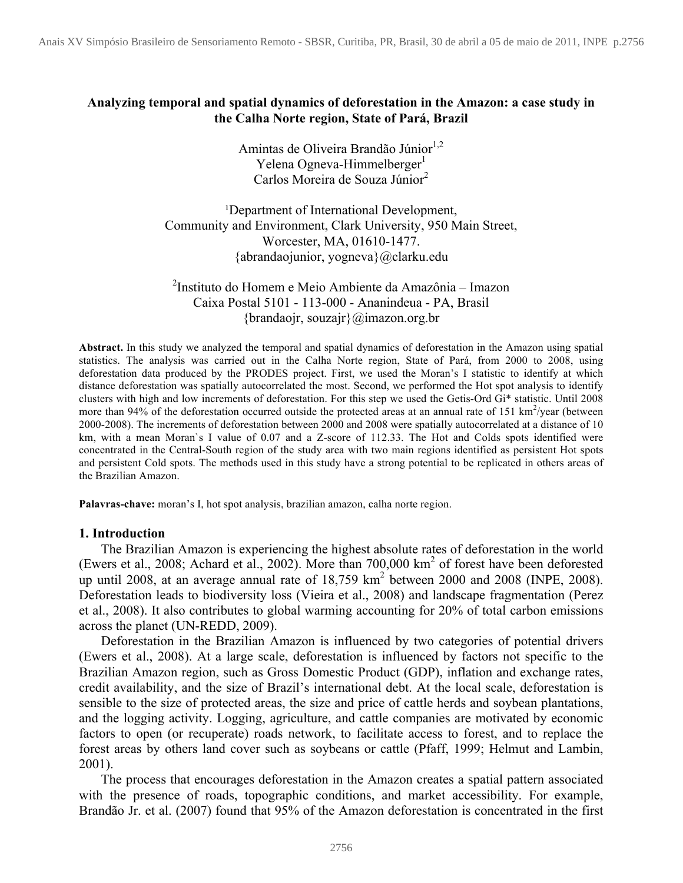## **Analyzing temporal and spatial dynamics of deforestation in the Amazon: a case study in the Calha Norte region, State of Pará, Brazil**

Amintas de Oliveira Brandão Júnior<sup>1,2</sup> Yelena Ogneva-Himmelberger<sup>1</sup> Carlos Moreira de Souza Júnior<sup>2</sup>

<sup>1</sup>Department of International Development, Community and Environment, Clark University, 950 Main Street, Worcester, MA, 01610-1477. {abrandaojunior, yogneva}@clarku.edu

2 Instituto do Homem e Meio Ambiente da Amazônia – Imazon Caixa Postal 5101 - 113-000 - Ananindeua - PA, Brasil {brandaojr, souzajr}@imazon.org.br

**Abstract.** In this study we analyzed the temporal and spatial dynamics of deforestation in the Amazon using spatial statistics. The analysis was carried out in the Calha Norte region, State of Pará, from 2000 to 2008, using deforestation data produced by the PRODES project. First, we used the Moran's I statistic to identify at which distance deforestation was spatially autocorrelated the most. Second, we performed the Hot spot analysis to identify clusters with high and low increments of deforestation. For this step we used the Getis-Ord Gi\* statistic. Until 2008 more than 94% of the deforestation occurred outside the protected areas at an annual rate of 151  $\text{km}^2/\text{year}$  (between 2000-2008). The increments of deforestation between 2000 and 2008 were spatially autocorrelated at a distance of 10 km, with a mean Moran`s I value of 0.07 and a Z-score of 112.33. The Hot and Colds spots identified were concentrated in the Central-South region of the study area with two main regions identified as persistent Hot spots and persistent Cold spots. The methods used in this study have a strong potential to be replicated in others areas of the Brazilian Amazon.

**Palavras-chave:** moran's I, hot spot analysis, brazilian amazon, calha norte region.

#### **1. Introduction**

The Brazilian Amazon is experiencing the highest absolute rates of deforestation in the world (Ewers et al., 2008; Achard et al., 2002). More than 700,000 km2 of forest have been deforested up until 2008, at an average annual rate of  $18,759 \text{ km}^2$  between 2000 and 2008 (INPE, 2008). Deforestation leads to biodiversity loss (Vieira et al., 2008) and landscape fragmentation (Perez et al., 2008). It also contributes to global warming accounting for 20% of total carbon emissions across the planet (UN-REDD, 2009).

Deforestation in the Brazilian Amazon is influenced by two categories of potential drivers (Ewers et al., 2008). At a large scale, deforestation is influenced by factors not specific to the Brazilian Amazon region, such as Gross Domestic Product (GDP), inflation and exchange rates, credit availability, and the size of Brazil's international debt. At the local scale, deforestation is sensible to the size of protected areas, the size and price of cattle herds and soybean plantations, and the logging activity. Logging, agriculture, and cattle companies are motivated by economic factors to open (or recuperate) roads network, to facilitate access to forest, and to replace the forest areas by others land cover such as soybeans or cattle (Pfaff, 1999; Helmut and Lambin, 2001).

The process that encourages deforestation in the Amazon creates a spatial pattern associated with the presence of roads, topographic conditions, and market accessibility. For example, Brandão Jr. et al. (2007) found that 95% of the Amazon deforestation is concentrated in the first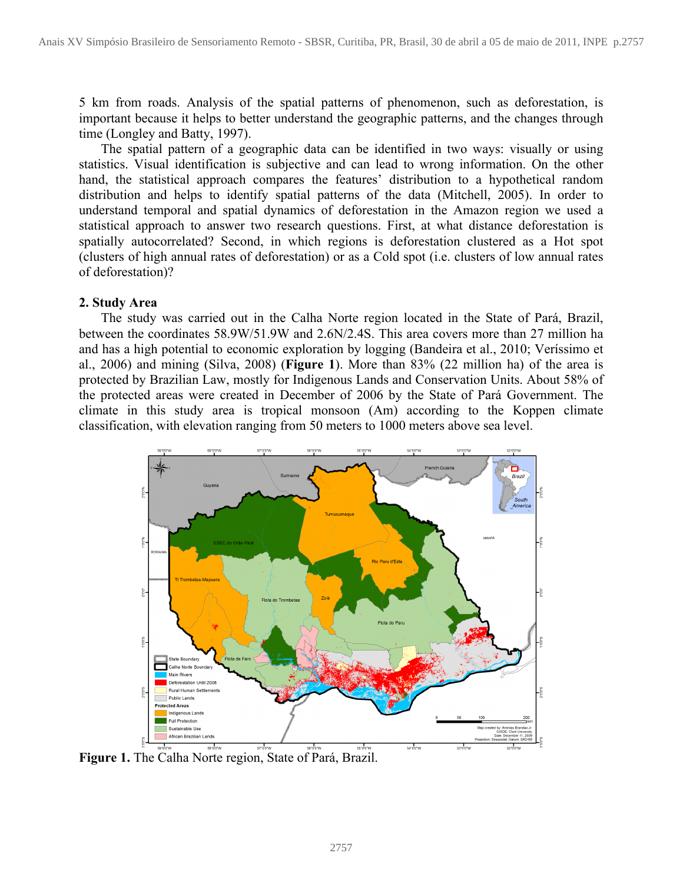5 km from roads. Analysis of the spatial patterns of phenomenon, such as deforestation, is important because it helps to better understand the geographic patterns, and the changes through time (Longley and Batty, 1997).

The spatial pattern of a geographic data can be identified in two ways: visually or using statistics. Visual identification is subjective and can lead to wrong information. On the other hand, the statistical approach compares the features' distribution to a hypothetical random distribution and helps to identify spatial patterns of the data (Mitchell, 2005). In order to understand temporal and spatial dynamics of deforestation in the Amazon region we used a statistical approach to answer two research questions. First, at what distance deforestation is spatially autocorrelated? Second, in which regions is deforestation clustered as a Hot spot (clusters of high annual rates of deforestation) or as a Cold spot (i.e. clusters of low annual rates of deforestation)?

#### **2. Study Area**

The study was carried out in the Calha Norte region located in the State of Pará, Brazil, between the coordinates 58.9W/51.9W and 2.6N/2.4S. This area covers more than 27 million ha and has a high potential to economic exploration by logging (Bandeira et al., 2010; Veríssimo et al., 2006) and mining (Silva, 2008) (**Figure 1**). More than 83% (22 million ha) of the area is protected by Brazilian Law, mostly for Indigenous Lands and Conservation Units. About 58% of the protected areas were created in December of 2006 by the State of Pará Government. The climate in this study area is tropical monsoon (Am) according to the Koppen climate classification, with elevation ranging from 50 meters to 1000 meters above sea level.



**Figure 1.** The Calha Norte region, State of Pará, Brazil.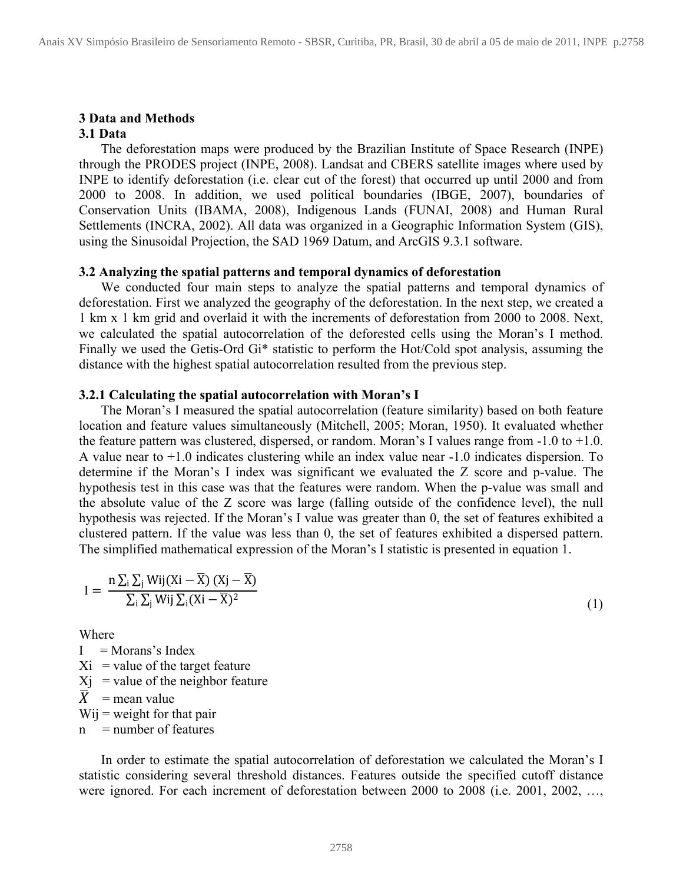# **3 Data and Methods**

## **3.1 Data**

The deforestation maps were produced by the Brazilian Institute of Space Research (INPE) through the PRODES project (INPE, 2008). Landsat and CBERS satellite images where used by INPE to identify deforestation (i.e. clear cut of the forest) that occurred up until 2000 and from 2000 to 2008. In addition, we used political boundaries (IBGE, 2007), boundaries of Conservation Units (IBAMA, 2008), Indigenous Lands (FUNAI, 2008) and Human Rural Settlements (INCRA, 2002). All data was organized in a Geographic Information System (GIS), using the Sinusoidal Projection, the SAD 1969 Datum, and ArcGIS 9.3.1 software.

#### **3.2 Analyzing the spatial patterns and temporal dynamics of deforestation**

We conducted four main steps to analyze the spatial patterns and temporal dynamics of deforestation. First we analyzed the geography of the deforestation. In the next step, we created a 1 km x 1 km grid and overlaid it with the increments of deforestation from 2000 to 2008. Next, we calculated the spatial autocorrelation of the deforested cells using the Moran's I method. Finally we used the Getis-Ord Gi\* statistic to perform the Hot/Cold spot analysis, assuming the distance with the highest spatial autocorrelation resulted from the previous step.

#### **3.2.1 Calculating the spatial autocorrelation with Moran's I**

The Moran's I measured the spatial autocorrelation (feature similarity) based on both feature location and feature values simultaneously (Mitchell, 2005; Moran, 1950). It evaluated whether the feature pattern was clustered, dispersed, or random. Moran's I values range from  $-1.0$  to  $+1.0$ . A value near to +1.0 indicates clustering while an index value near -1.0 indicates dispersion. To determine if the Moran's I index was significant we evaluated the Z score and p-value. The hypothesis test in this case was that the features were random. When the p-value was small and the absolute value of the Z score was large (falling outside of the confidence level), the null hypothesis was rejected. If the Moran's I value was greater than 0, the set of features exhibited a clustered pattern. If the value was less than 0, the set of features exhibited a dispersed pattern. The simplified mathematical expression of the Moran's I statistic is presented in equation 1.

$$
I = \frac{n \sum_{i} \sum_{j} W_{ij} (Xi - \overline{X}) (Xj - \overline{X})}{\sum_{i} \sum_{j} W_{ij} \sum_{i} (Xi - \overline{X})^{2}}
$$
\n(1)

Where

 $I =$ Morans's Index  $Xi =$  value of the target feature  $X<sub>i</sub>$  = value of the neighbor feature  $\overline{X}$  = mean value  $Wij$  = weight for that pair  $n =$  number of features

In order to estimate the spatial autocorrelation of deforestation we calculated the Moran's I statistic considering several threshold distances. Features outside the specified cutoff distance were ignored. For each increment of deforestation between 2000 to 2008 (i.e. 2001, 2002, …,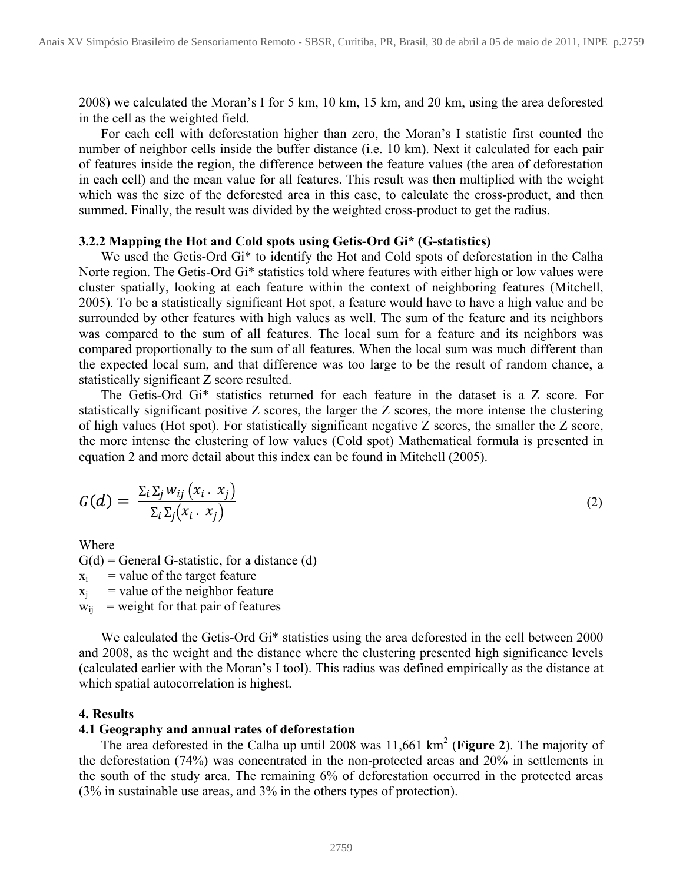2008) we calculated the Moran's I for 5 km, 10 km, 15 km, and 20 km, using the area deforested in the cell as the weighted field.

For each cell with deforestation higher than zero, the Moran's I statistic first counted the number of neighbor cells inside the buffer distance (i.e. 10 km). Next it calculated for each pair of features inside the region, the difference between the feature values (the area of deforestation in each cell) and the mean value for all features. This result was then multiplied with the weight which was the size of the deforested area in this case, to calculate the cross-product, and then summed. Finally, the result was divided by the weighted cross-product to get the radius.

#### **3.2.2 Mapping the Hot and Cold spots using Getis-Ord Gi\* (G-statistics)**

We used the Getis-Ord Gi\* to identify the Hot and Cold spots of deforestation in the Calha Norte region. The Getis-Ord Gi\* statistics told where features with either high or low values were cluster spatially, looking at each feature within the context of neighboring features (Mitchell, 2005). To be a statistically significant Hot spot, a feature would have to have a high value and be surrounded by other features with high values as well. The sum of the feature and its neighbors was compared to the sum of all features. The local sum for a feature and its neighbors was compared proportionally to the sum of all features. When the local sum was much different than the expected local sum, and that difference was too large to be the result of random chance, a statistically significant Z score resulted.

The Getis-Ord Gi\* statistics returned for each feature in the dataset is a Z score. For statistically significant positive Z scores, the larger the Z scores, the more intense the clustering of high values (Hot spot). For statistically significant negative Z scores, the smaller the Z score, the more intense the clustering of low values (Cold spot) Mathematical formula is presented in equation 2 and more detail about this index can be found in Mitchell (2005).

$$
G(d) = \frac{\sum_{i} \sum_{j} w_{ij} (x_i \cdot x_j)}{\sum_{i} \sum_{j} (x_i \cdot x_j)}
$$
(2)

Where

 $G(d)$  = General G-statistic, for a distance (d)

 $x_i$  = value of the target feature

 $x_i$  = value of the neighbor feature

 $w_{ij}$  = weight for that pair of features

We calculated the Getis-Ord Gi<sup>\*</sup> statistics using the area deforested in the cell between 2000 and 2008, as the weight and the distance where the clustering presented high significance levels (calculated earlier with the Moran's I tool). This radius was defined empirically as the distance at which spatial autocorrelation is highest.

#### **4. Results**

#### **4.1 Geography and annual rates of deforestation**

The area deforested in the Calha up until 2008 was 11,661 km2 (**Figure 2**). The majority of the deforestation (74%) was concentrated in the non-protected areas and 20% in settlements in the south of the study area. The remaining 6% of deforestation occurred in the protected areas (3% in sustainable use areas, and 3% in the others types of protection).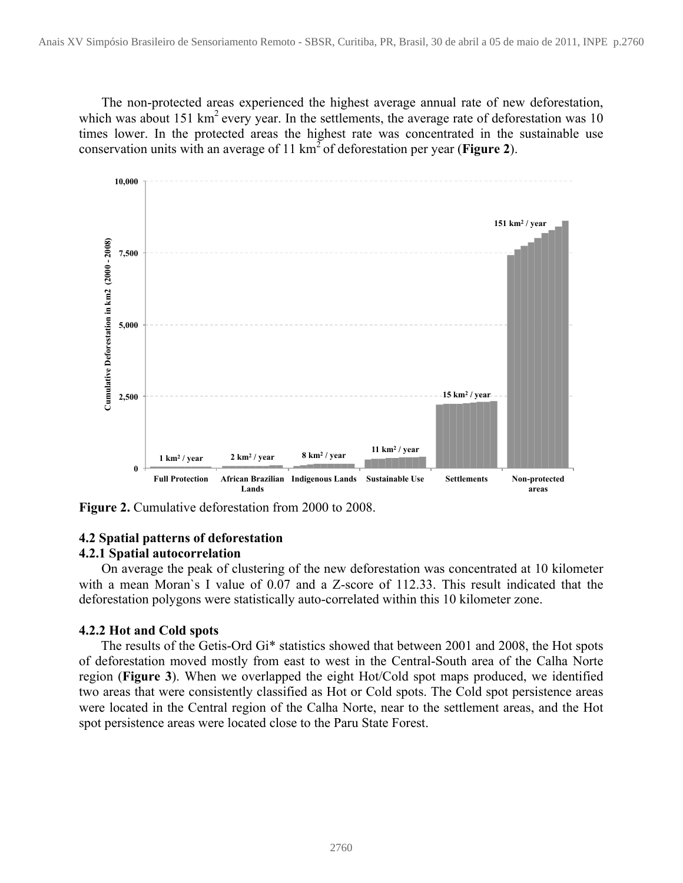The non-protected areas experienced the highest average annual rate of new deforestation, which was about 151 km<sup>2</sup> every year. In the settlements, the average rate of deforestation was 10 times lower. In the protected areas the highest rate was concentrated in the sustainable use conservation units with an average of 11 km2 of deforestation per year (**Figure 2**).



**Figure 2.** Cumulative deforestation from 2000 to 2008.

## **4.2 Spatial patterns of deforestation**

## **4.2.1 Spatial autocorrelation**

On average the peak of clustering of the new deforestation was concentrated at 10 kilometer with a mean Moran`s I value of 0.07 and a Z-score of 112.33. This result indicated that the deforestation polygons were statistically auto-correlated within this 10 kilometer zone.

## **4.2.2 Hot and Cold spots**

The results of the Getis-Ord Gi\* statistics showed that between 2001 and 2008, the Hot spots of deforestation moved mostly from east to west in the Central-South area of the Calha Norte region (**Figure 3**). When we overlapped the eight Hot/Cold spot maps produced, we identified two areas that were consistently classified as Hot or Cold spots. The Cold spot persistence areas were located in the Central region of the Calha Norte, near to the settlement areas, and the Hot spot persistence areas were located close to the Paru State Forest.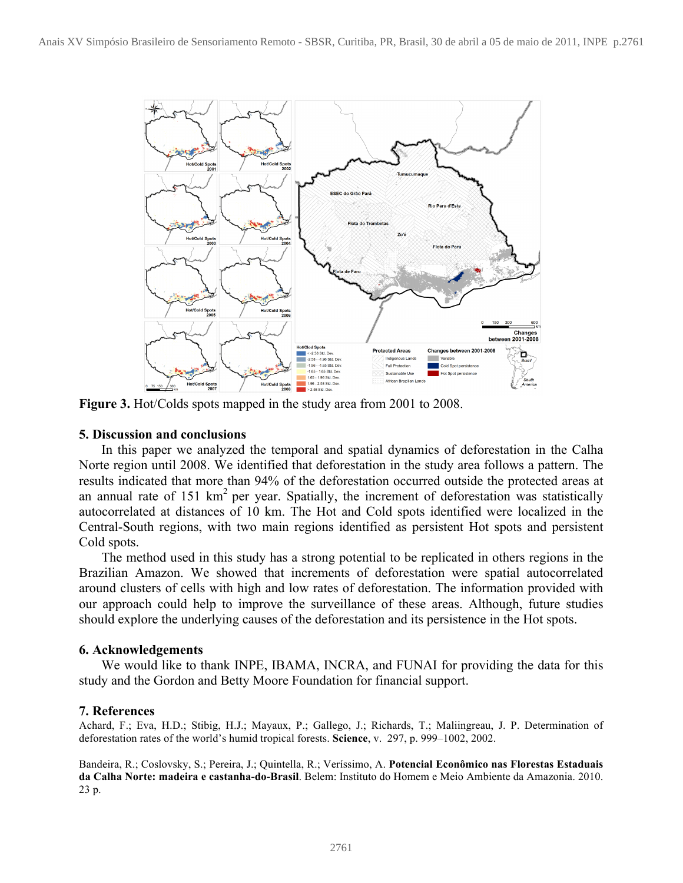

**Figure 3.** Hot/Colds spots mapped in the study area from 2001 to 2008.

#### **5. Discussion and conclusions**

In this paper we analyzed the temporal and spatial dynamics of deforestation in the Calha Norte region until 2008. We identified that deforestation in the study area follows a pattern. The results indicated that more than 94% of the deforestation occurred outside the protected areas at an annual rate of 151  $km^2$  per year. Spatially, the increment of deforestation was statistically autocorrelated at distances of 10 km. The Hot and Cold spots identified were localized in the Central-South regions, with two main regions identified as persistent Hot spots and persistent Cold spots.

The method used in this study has a strong potential to be replicated in others regions in the Brazilian Amazon. We showed that increments of deforestation were spatial autocorrelated around clusters of cells with high and low rates of deforestation. The information provided with our approach could help to improve the surveillance of these areas. Although, future studies should explore the underlying causes of the deforestation and its persistence in the Hot spots.

#### **6. Acknowledgements**

We would like to thank INPE, IBAMA, INCRA, and FUNAI for providing the data for this study and the Gordon and Betty Moore Foundation for financial support.

## **7. References**

Achard, F.; Eva, H.D.; Stibig, H.J.; Mayaux, P.; Gallego, J.; Richards, T.; Maliingreau, J. P. Determination of deforestation rates of the world's humid tropical forests. **Science**, v. 297, p. 999–1002, 2002.

Bandeira, R.; Coslovsky, S.; Pereira, J.; Quintella, R.; Veríssimo, A. **Potencial Econômico nas Florestas Estaduais da Calha Norte: madeira e castanha-do-Brasil**. Belem: Instituto do Homem e Meio Ambiente da Amazonia. 2010. 23 p.